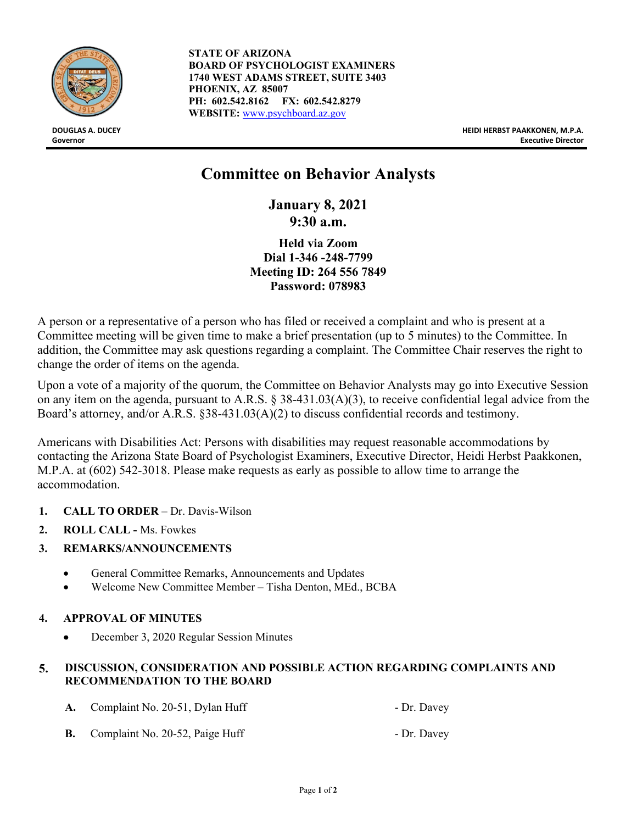

**STATE OF ARIZONA BOARD OF PSYCHOLOGIST EXAMINERS 1740 WEST ADAMS STREET, SUITE 3403 PHOENIX, AZ 85007 PH: 602.542.8162 FX: 602.542.8279 WEBSITE:** [www.psychboard.az.gov](http://www.psychboard.az.gov/)

**DOUGLAS A. DUCEY HEIDI HERBST PAAKKONEN, M.P.A. Governor Executive Director**

# **Committee on Behavior Analysts**

**January 8, 2021 9:30 a.m.**

**Held via Zoom Dial 1-346 -248-7799 Meeting ID: 264 556 7849 Password: 078983** 

A person or a representative of a person who has filed or received a complaint and who is present at a Committee meeting will be given time to make a brief presentation (up to 5 minutes) to the Committee. In addition, the Committee may ask questions regarding a complaint. The Committee Chair reserves the right to change the order of items on the agenda.

Upon a vote of a majority of the quorum, the Committee on Behavior Analysts may go into Executive Session on any item on the agenda, pursuant to A.R.S. § 38-431.03(A)(3), to receive confidential legal advice from the Board's attorney, and/or A.R.S. §38-431.03(A)(2) to discuss confidential records and testimony.

Americans with Disabilities Act: Persons with disabilities may request reasonable accommodations by contacting the Arizona State Board of Psychologist Examiners, Executive Director, Heidi Herbst Paakkonen, M.P.A. at (602) 542-3018. Please make requests as early as possible to allow time to arrange the accommodation.

- **1. CALL TO ORDER**  Dr. Davis-Wilson
- **2. ROLL CALL -** Ms. Fowkes
- **3. REMARKS/ANNOUNCEMENTS**
	- General Committee Remarks, Announcements and Updates
	- Welcome New Committee Member Tisha Denton, MEd., BCBA

# **4. APPROVAL OF MINUTES**

• December 3, 2020 Regular Session Minutes

# **5. DISCUSSION, CONSIDERATION AND POSSIBLE ACTION REGARDING COMPLAINTS AND RECOMMENDATION TO THE BOARD**

|           | A. Complaint No. 20-51, Dylan Huff | - Dr. Davey |
|-----------|------------------------------------|-------------|
| <b>B.</b> | Complaint No. 20-52, Paige Huff    | - Dr. Davey |